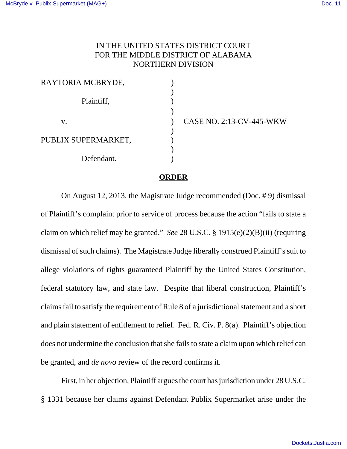## IN THE UNITED STATES DISTRICT COURT FOR THE MIDDLE DISTRICT OF ALABAMA NORTHERN DIVISION

| RAYTORIA MCBRYDE,   |  |
|---------------------|--|
|                     |  |
| Plaintiff,          |  |
| V.                  |  |
|                     |  |
| PUBLIX SUPERMARKET, |  |
|                     |  |
| Defendant.          |  |

v. ) CASE NO. 2:13-CV-445-WKW

## **ORDER**

On August 12, 2013, the Magistrate Judge recommended (Doc. # 9) dismissal of Plaintiff's complaint prior to service of process because the action "fails to state a claim on which relief may be granted." *See* 28 U.S.C. § 1915(e)(2)(B)(ii) (requiring dismissal of such claims). The Magistrate Judge liberally construed Plaintiff's suit to allege violations of rights guaranteed Plaintiff by the United States Constitution, federal statutory law, and state law. Despite that liberal construction, Plaintiff's claims fail to satisfy the requirement of Rule 8 of a jurisdictional statement and a short and plain statement of entitlement to relief. Fed. R. Civ. P. 8(a). Plaintiff's objection does not undermine the conclusion that she fails to state a claim upon which relief can be granted, and *de novo* review of the record confirms it.

First, in her objection, Plaintiff argues the court has jurisdiction under 28 U.S.C. § 1331 because her claims against Defendant Publix Supermarket arise under the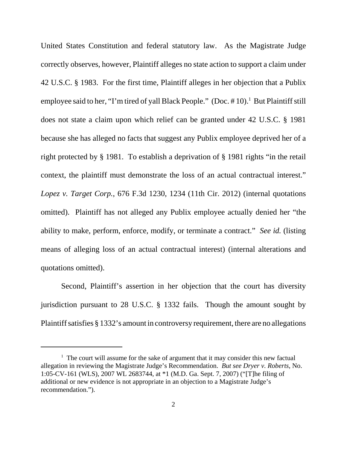United States Constitution and federal statutory law. As the Magistrate Judge correctly observes, however, Plaintiff alleges no state action to support a claim under 42 U.S.C. § 1983. For the first time, Plaintiff alleges in her objection that a Publix employee said to her, "I'm tired of yall Black People." (Doc. #10).<sup>1</sup> But Plaintiff still does not state a claim upon which relief can be granted under 42 U.S.C. § 1981 because she has alleged no facts that suggest any Publix employee deprived her of a right protected by § 1981. To establish a deprivation of § 1981 rights "in the retail context, the plaintiff must demonstrate the loss of an actual contractual interest." *Lopez v. Target Corp.*, 676 F.3d 1230, 1234 (11th Cir. 2012) (internal quotations omitted). Plaintiff has not alleged any Publix employee actually denied her "the ability to make, perform, enforce, modify, or terminate a contract." *See id.* (listing means of alleging loss of an actual contractual interest) (internal alterations and quotations omitted).

Second, Plaintiff's assertion in her objection that the court has diversity jurisdiction pursuant to 28 U.S.C. § 1332 fails. Though the amount sought by Plaintiff satisfies § 1332's amount in controversy requirement, there are no allegations

 $1$  The court will assume for the sake of argument that it may consider this new factual allegation in reviewing the Magistrate Judge's Recommendation. *But see Dryer v. Roberts*, No. 1:05-CV-161 (WLS), 2007 WL 2683744, at \*1 (M.D. Ga. Sept. 7, 2007) ("[T]he filing of additional or new evidence is not appropriate in an objection to a Magistrate Judge's recommendation.").